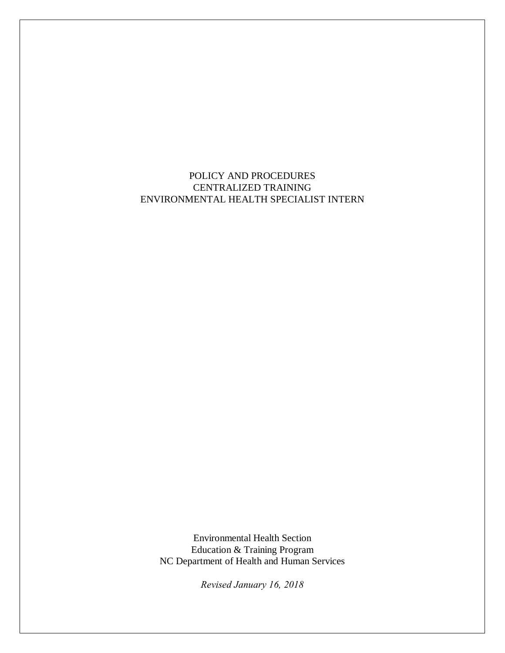POLICY AND PROCEDURES CENTRALIZED TRAINING ENVIRONMENTAL HEALTH SPECIALIST INTERN

Environmental Health Section Education & Training Program NC Department of Health and Human Services

*Revised January 16, 2018*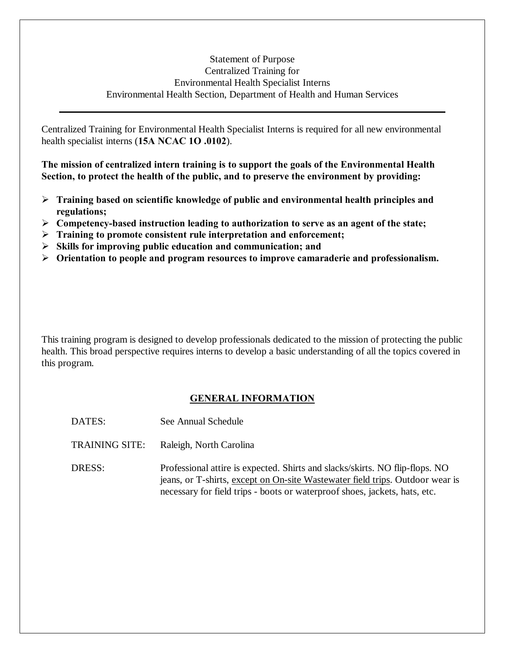# Statement of Purpose Centralized Training for Environmental Health Specialist Interns Environmental Health Section, Department of Health and Human Services

Centralized Training for Environmental Health Specialist Interns is required for all new environmental health specialist interns (**15A NCAC 1O .0102**).

**The mission of centralized intern training is to support the goals of the Environmental Health Section, to protect the health of the public, and to preserve the environment by providing:**

- ÿ **Training based on scientific knowledge of public and environmental health principles and regulations;**
- ÿ **Competency-based instruction leading to authorization to serve as an agent of the state;**
- ÿ **Training to promote consistent rule interpretation and enforcement;**
- ÿ **Skills for improving public education and communication; and**
- ÿ **Orientation to people and program resources to improve camaraderie and professionalism.**

This training program is designed to develop professionals dedicated to the mission of protecting the public health. This broad perspective requires interns to develop a basic understanding of all the topics covered in this program.

# **GENERAL INFORMATION**

- DATES: See Annual Schedule
- TRAINING SITE: Raleigh, North Carolina
- DRESS: Professional attire is expected. Shirts and slacks/skirts. NO flip-flops. NO jeans, or T-shirts, except on On-site Wastewater field trips. Outdoor wear is necessary for field trips - boots or waterproof shoes, jackets, hats, etc.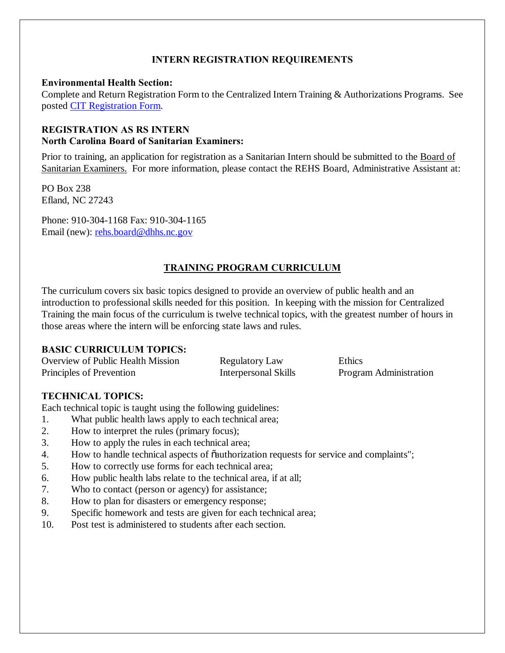## **INTERN REGISTRATION REQUIREMENTS**

### **Environmental Health Section:**

Complete and Return Registration Form to the Centralized Intern Training & Authorizations Programs. See posted CIT Registration Form.

# **REGISTRATION AS RS INTERN North Carolina Board of Sanitarian Examiners:**

Prior to training, an application for registration as a Sanitarian Intern should be submitted to the Board of Sanitarian Examiners. For more information, please contact the REHS Board, Administrative Assistant at:

PO Box 238 Efland, NC 27243

Phone: 910-304-1168 Fax: 910-304-1165 Email (new): rehs.board@dhhs.nc.gov

# **TRAINING PROGRAM CURRICULUM**

The curriculum covers six basic topics designed to provide an overview of public health and an introduction to professional skills needed for this position. In keeping with the mission for Centralized Training the main focus of the curriculum is twelve technical topics, with the greatest number of hours in those areas where the intern will be enforcing state laws and rules.

# **BASIC CURRICULUM TOPICS:**

| Overview of Public Health Mission | <b>Regulatory Law</b> | Ethics                 |
|-----------------------------------|-----------------------|------------------------|
| Principles of Prevention          | Interpersonal Skills  | Program Administration |

# **TECHNICAL TOPICS:**

Each technical topic is taught using the following guidelines:

- 1. What public health laws apply to each technical area;
- 2. How to interpret the rules (primary focus);
- 3. How to apply the rules in each technical area;
- 4. How to handle technical aspects of  $\ddot{\text{o}}$  authorization requests for service and complaints";
- 5. How to correctly use forms for each technical area;
- 6. How public health labs relate to the technical area, if at all;
- 7. Who to contact (person or agency) for assistance;
- 8. How to plan for disasters or emergency response;
- 9. Specific homework and tests are given for each technical area;
- 10. Post test is administered to students after each section.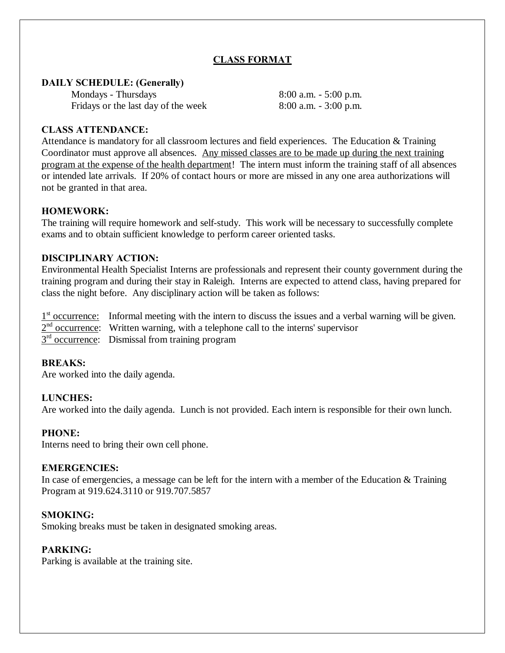# **CLASS FORMAT**

### **DAILY SCHEDULE: (Generally)**

Mondays - Thursdays 8:00 a.m. - 5:00 p.m. Fridays or the last day of the week 8:00 a.m. - 3:00 p.m.

### **CLASS ATTENDANCE:**

Attendance is mandatory for all classroom lectures and field experiences. The Education & Training Coordinator must approve all absences. Any missed classes are to be made up during the next training program at the expense of the health department! The intern must inform the training staff of all absences or intended late arrivals. If 20% of contact hours or more are missed in any one area authorizations will not be granted in that area.

## **HOMEWORK:**

The training will require homework and self-study. This work will be necessary to successfully complete exams and to obtain sufficient knowledge to perform career oriented tasks.

## **DISCIPLINARY ACTION:**

Environmental Health Specialist Interns are professionals and represent their county government during the training program and during their stay in Raleigh. Interns are expected to attend class, having prepared for class the night before. Any disciplinary action will be taken as follows:

1<sup>st</sup> occurrence: Informal meeting with the intern to discuss the issues and a verbal warning will be given.  $2<sup>nd</sup>$  occurrence: Written warning, with a telephone call to the interns' supervisor  $3<sup>rd</sup>$  occurrence: Dismissal from training program

### **BREAKS:**

Are worked into the daily agenda.

### **LUNCHES:**

Are worked into the daily agenda. Lunch is not provided. Each intern is responsible for their own lunch.

### **PHONE:**

Interns need to bring their own cell phone.

### **EMERGENCIES:**

In case of emergencies, a message can be left for the intern with a member of the Education & Training Program at 919.624.3110 or 919.707.5857

### **SMOKING:**

Smoking breaks must be taken in designated smoking areas.

### **PARKING:**

Parking is available at the training site.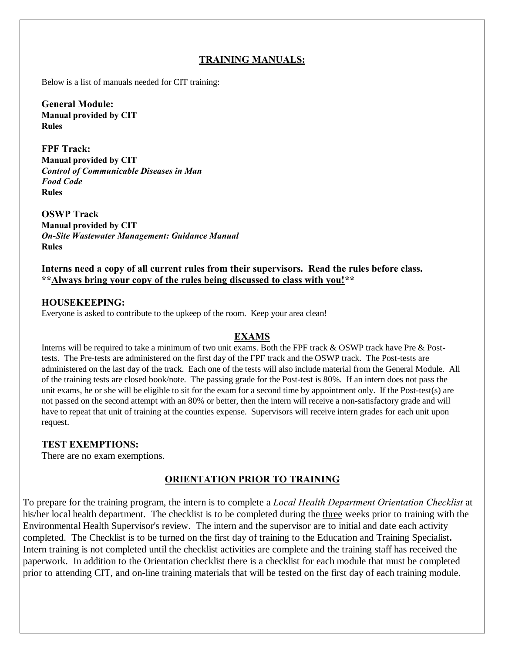# **TRAINING MANUALS:**

Below is a list of manuals needed for CIT training:

**General Module: Manual provided by CIT Rules**

**FPF Track: Manual provided by CIT** *Control of Communicable Diseases in Man Food Code* **Rules**

**OSWP Track Manual provided by CIT** *On-Site Wastewater Management: Guidance Manual* **Rules**

**Interns need a copy of all current rules from their supervisors. Read the rules before class. \*\*Always bring your copy of the rules being discussed to class with you!\*\***

#### **HOUSEKEEPING:**

Everyone is asked to contribute to the upkeep of the room. Keep your area clean!

### **EXAMS**

Interns will be required to take a minimum of two unit exams. Both the FPF track & OSWP track have Pre & Posttests. The Pre-tests are administered on the first day of the FPF track and the OSWP track. The Post-tests are administered on the last day of the track. Each one of the tests will also include material from the General Module. All of the training tests are closed book/note. The passing grade for the Post-test is 80%. If an intern does not pass the unit exams, he or she will be eligible to sit for the exam for a second time by appointment only. If the Post-test(s) are not passed on the second attempt with an 80% or better, then the intern will receive a non-satisfactory grade and will have to repeat that unit of training at the counties expense. Supervisors will receive intern grades for each unit upon request.

### **TEST EXEMPTIONS:**

There are no exam exemptions.

# **ORIENTATION PRIOR TO TRAINING**

To prepare for the training program, the intern is to complete a *Local Health Department Orientation Checklist* at his/her local health department. The checklist is to be completed during the three weeks prior to training with the Environmental Health Supervisor's review. The intern and the supervisor are to initial and date each activity completed. The Checklist is to be turned on the first day of training to the Education and Training Specialist**.** Intern training is not completed until the checklist activities are complete and the training staff has received the paperwork. In addition to the Orientation checklist there is a checklist for each module that must be completed prior to attending CIT, and on-line training materials that will be tested on the first day of each training module.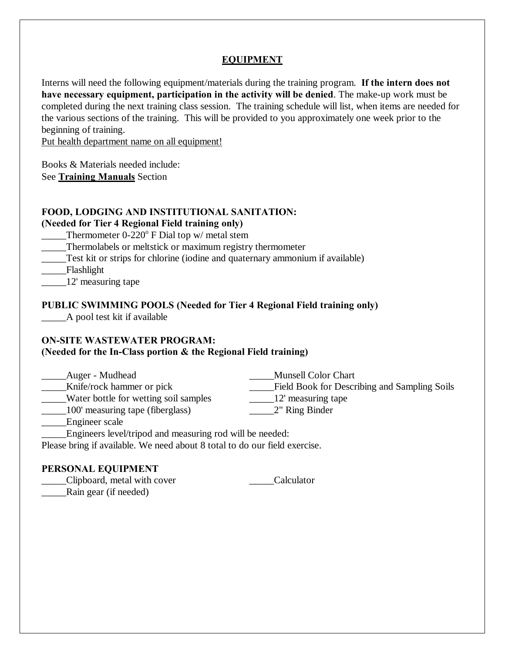# **EQUIPMENT**

Interns will need the following equipment/materials during the training program. **If the intern does not have necessary equipment, participation in the activity will be denied**. The make-up work must be completed during the next training class session. The training schedule will list, when items are needed for the various sections of the training. This will be provided to you approximately one week prior to the beginning of training.

Put health department name on all equipment!

Books & Materials needed include: See **Training Manuals** Section

### **FOOD, LODGING AND INSTITUTIONAL SANITATION:**

### **(Needed for Tier 4 Regional Field training only)**

Thermometer  $0-220^\circ$  F Dial top w/ metal stem

\_\_\_\_\_Thermolabels or meltstick or maximum registry thermometer

\_\_\_\_\_Test kit or strips for chlorine (iodine and quaternary ammonium if available)

\_\_\_\_\_Flashlight

\_\_\_\_\_12' measuring tape

### **PUBLIC SWIMMING POOLS (Needed for Tier 4 Regional Field training only)**

\_\_\_\_\_A pool test kit if available

#### **ON-SITE WASTEWATER PROGRAM: (Needed for the In-Class portion & the Regional Field training)**

| Auger - Mudhead                       | <b>Munsell Color Chart</b>                   |  |
|---------------------------------------|----------------------------------------------|--|
| Knife/rock hammer or pick             | Field Book for Describing and Sampling Soils |  |
| Water bottle for wetting soil samples | 12' measuring tape                           |  |
| 100' measuring tape (fiberglass)      | 2" Ring Binder                               |  |
| Engineer scale                        |                                              |  |
|                                       |                                              |  |

Engineers level/tripod and measuring rod will be needed:

Please bring if available. We need about 8 total to do our field exercise.

# **PERSONAL EQUIPMENT**

\_\_\_\_\_Clipboard, metal with cover \_\_\_\_\_Calculator \_\_\_\_\_Rain gear (if needed)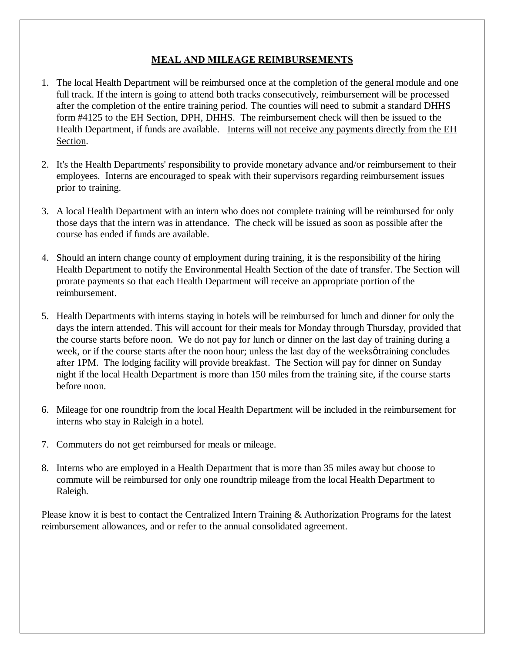# **MEAL AND MILEAGE REIMBURSEMENTS**

- 1. The local Health Department will be reimbursed once at the completion of the general module and one full track. If the intern is going to attend both tracks consecutively, reimbursement will be processed after the completion of the entire training period. The counties will need to submit a standard DHHS form #4125 to the EH Section, DPH, DHHS. The reimbursement check will then be issued to the Health Department, if funds are available. Interns will not receive any payments directly from the EH Section.
- 2. It's the Health Departments' responsibility to provide monetary advance and/or reimbursement to their employees. Interns are encouraged to speak with their supervisors regarding reimbursement issues prior to training.
- 3. A local Health Department with an intern who does not complete training will be reimbursed for only those days that the intern was in attendance. The check will be issued as soon as possible after the course has ended if funds are available.
- 4. Should an intern change county of employment during training, it is the responsibility of the hiring Health Department to notify the Environmental Health Section of the date of transfer. The Section will prorate payments so that each Health Department will receive an appropriate portion of the reimbursement.
- 5. Health Departments with interns staying in hotels will be reimbursed for lunch and dinner for only the days the intern attended. This will account for their meals for Monday through Thursday, provided that the course starts before noon. We do not pay for lunch or dinner on the last day of training during a week, or if the course starts after the noon hour; unless the last day of the weeks  $\phi$  training concludes after 1PM. The lodging facility will provide breakfast. The Section will pay for dinner on Sunday night if the local Health Department is more than 150 miles from the training site, if the course starts before noon.
- 6. Mileage for one roundtrip from the local Health Department will be included in the reimbursement for interns who stay in Raleigh in a hotel.
- 7. Commuters do not get reimbursed for meals or mileage.
- 8. Interns who are employed in a Health Department that is more than 35 miles away but choose to commute will be reimbursed for only one roundtrip mileage from the local Health Department to Raleigh.

Please know it is best to contact the Centralized Intern Training & Authorization Programs for the latest reimbursement allowances, and or refer to the annual consolidated agreement.